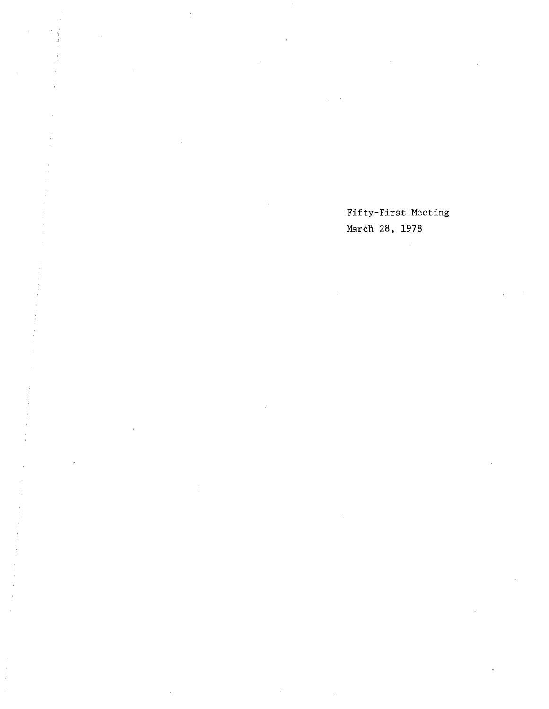Fifty-First Meeting March 28, 1978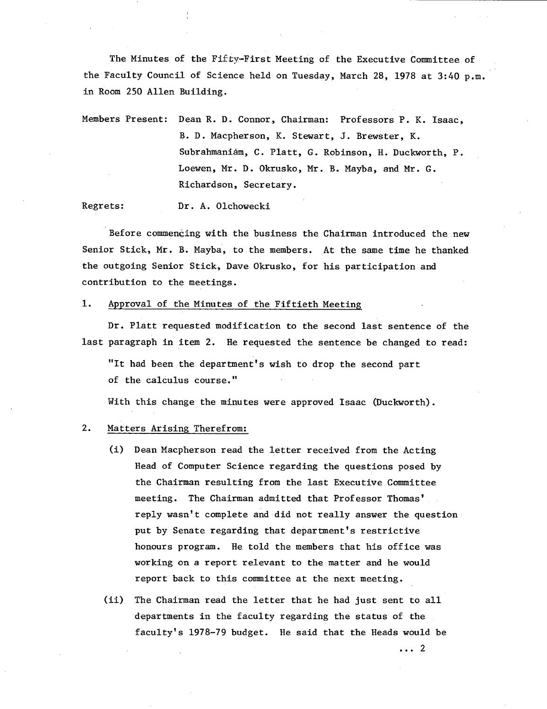The Minutes of the Fifty-First Meeting of the Executive Committee of the Faculty Council of Science held on Tuesday, March 28, 1978 at 3:40. p.m. in Room 250 Allen Building.

Members Present: Dean R. D. Connor, Chairman: Professors P. K. Isaac, B. D. Macpherson, K. Stewart, J. Brewster, K. Subrahmaniám, C. Platt, G. Robinson, H. Duckworth, P. Loewen, Mr. D. Okrusko, Mr. B. Mayba, and Mr. G. Richardson, Secretary.

Regrets: Dr. A. Olchowecki

Before commencing with the business the Chairman introduced the new Senior Stick, Mr. B. Mayba, to the members. At the same time he thanked the outgoing Senior Stick, Dave Okrusko, for his participation and contribution to the meetings.

1. Approval of the Minutes of the Fiftieth Meeting

Dr. Platt requested modification to the second last sentence of the last paragraph in item 2. He requested the sentence be changed to read:

"It had been the department's wish to drop the second part of the calculus course."

With this change the minutes were approved Isaac (Duckworth).

### $2.$ Matters Arising Therefrom:

- (i) Dean Macpherson read the letter received from the Acting Head of Computer Science regarding the questions posed by the Chairman resulting from the last Executive Committee meeting. The Chairman admitted that Professor Thomas' reply wasn't complete and did not really answer the question put by Senate regarding that department's restrictive honours program. He told the members that his office was working on a report relevant to the matter and he would report back to this committee at the next meeting.
- $(ii)$ The Chairman read the letter that he had just sent to all departments in the faculty regarding the status of the faculty's 1978-79 budget. He said that the Heads would be

...2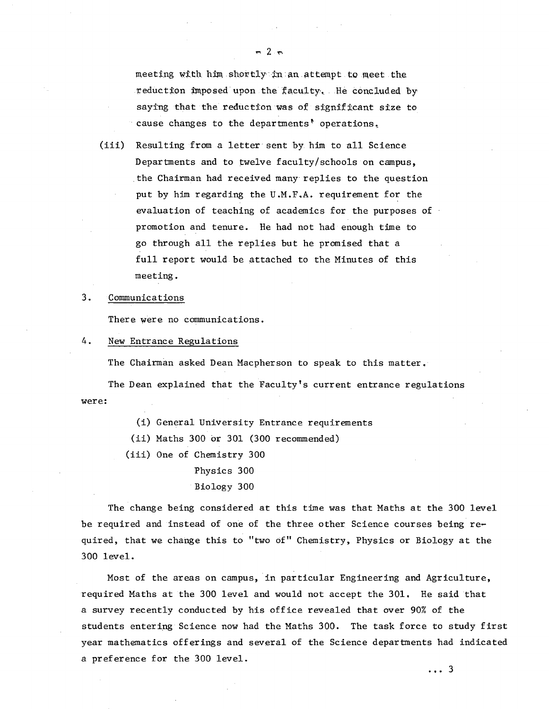meeting with him shortly in an attempt to meet the reduction imposed upon the faculty. He concluded by saying that the reduction was of significant size to cause changes to the departments<sup>t</sup> operations.

(iii) Resulting from a letter sent by him to all Science Departments and to twelve faculty/schools on campus, the Chairman had received many replies to the question put by him regarding the U.M.F.A. requirement for the evaluation of teaching of academics for the purposes of promotion and tenure. He had not had enough time to go through all the replies but he promised that a full report would be attached to the Minutes of this meeting.

#### $3.$ Communications

There were no communications.

### 4. New Entrance Regulations

The Chairman asked Dean Macpherson to speak to this matter.

The Dean explained that the Faculty's current entrance regulations were:

> (i) General University Entrance requirements (ii) Maths 300 or 301 (300 recommended) (iii) One of Chemistry 300 Physics 300 Biology 300

The change being considered at this time was that Maths at the 300 level be required and instead of one of the three other Science courses being required, that we change this to "two of" Chemistry, Physics or Biology at the 300 level.

Most of the areas on campus, in particular Engineering and Agriculture, required Maths at the 300 level and would not accept the 301. He said that a survey recently conducted by his office revealed that over 90% of the students entering Science now had the Maths 300. The task force to study first year mathematics offerings and several of the Science departments had indicated a preference for the 300 level.

 $-2.7$ 

... 3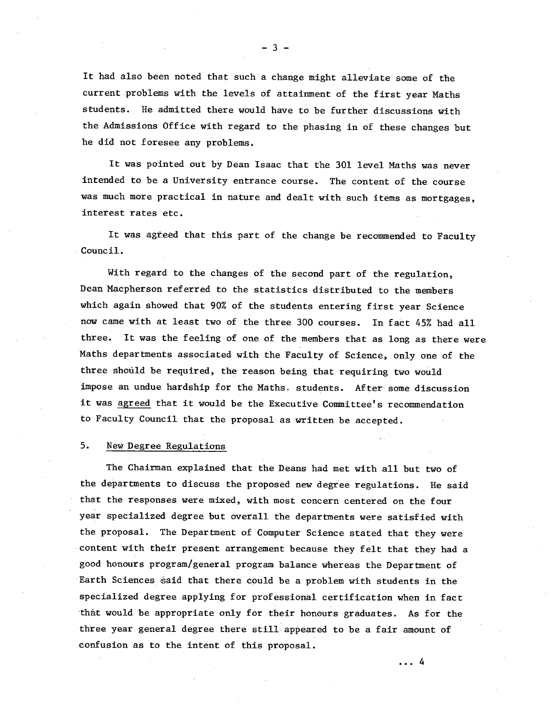It had also been noted that such a change might alleviate some of the current problems with the levels of attainment of the first year Maths students. He admitted there would have to be further discussions with the Admissions Office with regard to the phasing in of these changes but he did not foresee any problems.

It was pointed out by Dean Isaac that the 301 level Maths was never intended to be a University entrance course. The content of the course was much more practical in nature and dealt with such items as mortgages, interest rates etc.

It was agreed that this part of the change be recommended to Faculty Council.

With regard to the changes of the second part of the regulation, Dean Macpherson referred to the statistics distributed to the members which again showed that 90% of the students entering first year Science now came with at least two of the three 300 courses. In fact 45% had all three. It was the feeling of one of the members that as long as there were Maths departments associated with the Faculty of Science, only one of the three should be required, the reason being that requiring two would impose an undue hardship for the Maths. students. After some discussion it was agreed that it would be the Executive Committee's recommendation to Faculty Council that the proposal as written be accepted.

## 5. New Degree Regulations

The Chairman explained that the Deans had met with all but two of the departments to discuss the proposed new degree regulations. He said that the responses were mixed, with most concern centered on the four year specialized degree but overall the departments were satisfied with the proposal. The Department of Computer Science stated that they were content with their present arrangement because they felt that they had a good honours program/general program balance whereas the Department of Earth Sciences said that there could be a problem with students in the specialized degree applying for professional certification when in fact that would be appropriate only for their honours graduates. As for the three year general degree there still appeared to be a fair amount of confusion as to the intent of this proposal.

...4

 $-3 -$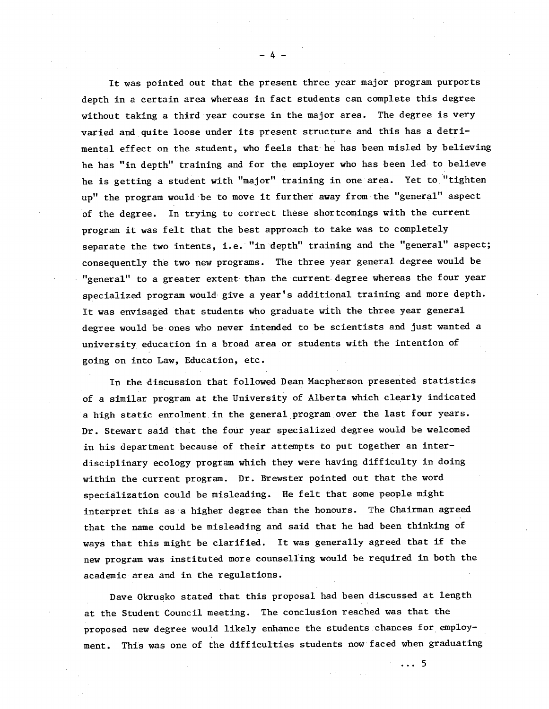It was pointed out that the present three year major program purports depth in a certain area whereas in fact students can complete this degree without taking a third year course in the major area. The degree is very varied and quite loose under its present structure and this has a detrimental effect on the student, who feels that he has been misled by believing he has "in depth" training and for the employer who has been led to believe he is getting a student with "major" training in one area. Yet to "tighten up" the program would be to move it further away from the "general" aspect of the degree. In trying to correct these shortcomings with the current program it was felt that the best approach to take was to completely separate the two intents, i.e. "in depth" training and the "general" aspect; consequently the two new programs. The three year general degree would be "general" to a greater extent than the current degree whereas the four year specialized program would give a year's additional training and more depth. It was envisaged that students who graduate with the three year general degree would be ones who never intended to be scientists and just wanted a university education in a broad area or students with the intention of going on into Law, Education, etc.

In the discussion that followed Dean Macpherson presented statistics of a similar program at the University of Alberta which clearly indicated a high static enrolment in the general program over the last four years. Dr. Stewart said that the four year specialized degree would be welcomed in his department because of their attempts to put together an interdisciplinary ecology program which they were having difficulty in doing within the current program. Dr. Brewster pointed out that the word specialization could be misleading. He felt that some people might interpret this as a higher degree than the honours. The Chairman agreed that the name could be misleading and said that he had been thinking of ways that this might be clarified. It was generally agreed that if the new program was instituted more counselling would be required in both the academic area and in the regulations.

Dave Okrusko stated that this proposal had been discussed at length at the Student Council meeting. The conclusion reached was that the proposed new degree would likely enhance the students chances for employment. This was one of the difficulties students now faced when graduating

-4-

...5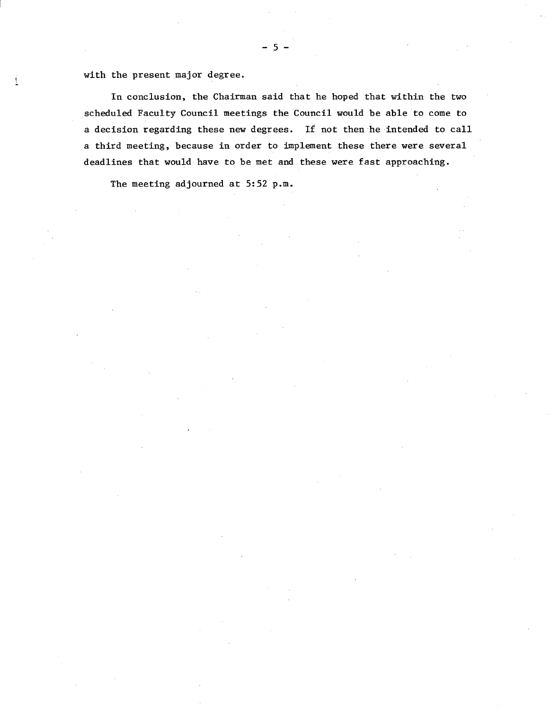with the present major degree.

In conclusion, the Chairman said that he hoped that within the two scheduled Faculty Council meetings the Council would be able to come to a decision regarding these new degrees. If not then he intended to call a third meeting, because in order to implement these there were several deadlines that would have to be met and these were fast approaching.

The meeting adjourned at 5:52 p.m.